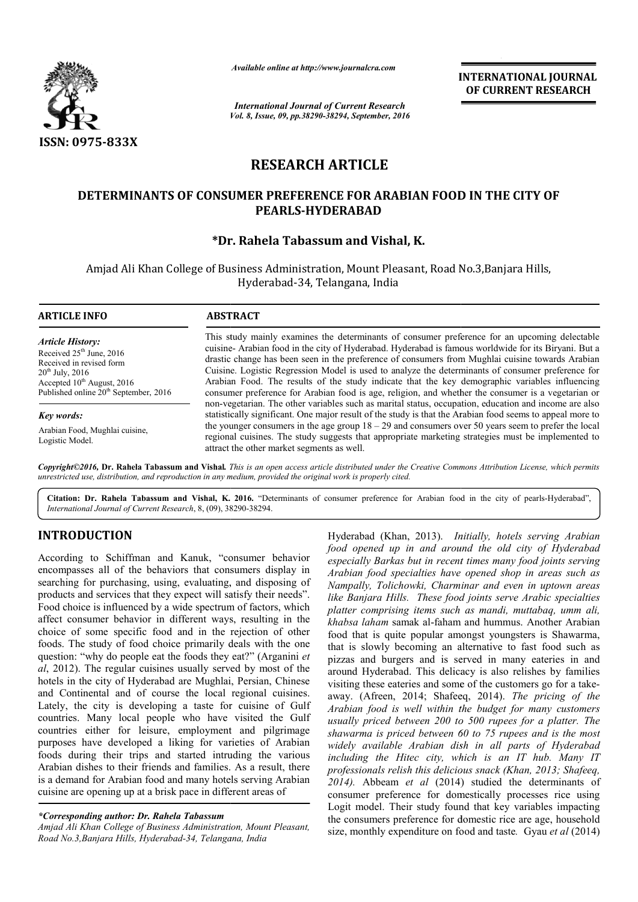

*Available online at http://www.journalcra.com*

*Vol. 8, Issue, 09, pp.38290-38294, September, 2016 International Journal of Current Research*

INTERNATIONAL JOURNAL OF CURRENT RESEARCH

# RESEARCH ARTICLE

## DETERMINANTS OF CONSUMER PREFERENCE FOR ARABIAN FOOD IN THE CITY OF PEARLS-HYDERABAD

## \*Dr. Rahela Tabassum and Vishal, K. Dr.

Amjad Ali Khan College of Business Administration, Mount Pleasant, Road No.3,Banjara Hills, Hyderabad-34, Telangana, India

| <b>ARTICLE INFO</b>                                                                                                                                                                       | <b>ABSTRACT</b>                                                                                                                                                                                                                                                                                                                                                                                                                                                                                                                                                                                                                                                                                                                 |  |  |
|-------------------------------------------------------------------------------------------------------------------------------------------------------------------------------------------|---------------------------------------------------------------------------------------------------------------------------------------------------------------------------------------------------------------------------------------------------------------------------------------------------------------------------------------------------------------------------------------------------------------------------------------------------------------------------------------------------------------------------------------------------------------------------------------------------------------------------------------------------------------------------------------------------------------------------------|--|--|
| <b>Article History:</b><br>Received $25th$ June, 2016<br>Received in revised form<br>$20^{th}$ July, $2016$<br>Accepted $10^{th}$ August, 2016<br>Published online $20th$ September, 2016 | This study mainly examines the determinants of consumer preference for an upcoming delectable<br>cuisine- Arabian food in the city of Hyderabad. Hyderabad is famous worldwide for its Biryani. But a<br>drastic change has been seen in the preference of consumers from Mughlai cuisine towards Arabian<br>Cuisine. Logistic Regression Model is used to analyze the determinants of consumer preference for<br>Arabian Food. The results of the study indicate that the key demographic variables influencing<br>consumer preference for Arabian food is age, religion, and whether the consumer is a vegetarian or<br>non-vegetarian. The other variables such as marital status, occupation, education and income are also |  |  |
| Key words:                                                                                                                                                                                | statistically significant. One major result of the study is that the Arabian food seems to appeal more to                                                                                                                                                                                                                                                                                                                                                                                                                                                                                                                                                                                                                       |  |  |
| Arabian Food, Mughlai cuisine,<br>Logistic Model.                                                                                                                                         | the younger consumers in the age group $18 - 29$ and consumers over 50 years seem to prefer the local<br>regional cuisines. The study suggests that appropriate marketing strategies must be implemented to<br>attract the other market segments as well.                                                                                                                                                                                                                                                                                                                                                                                                                                                                       |  |  |

*Copyright©2016,* Dr. Rahela Tabassum and Vishal*. This is an open access article distributed under the Creative Commons Att Attribution License, which permits unrestricted use, distribution, and reproduction in any medium, provided the original work is properly cited.*

Citation: Dr. Rahela Tabassum and Vishal, K. 2016. "Determinants of consumer preference for Arabian food in the city of pearls-Hyderabad", *International Journal of Current Research*, 8, (09), 38290 38290-38294.

## INTRODUCTION

According to Schiffman and Kanuk, "consumer behavior encompasses all of the behaviors that consumers display in searching for purchasing, using, evaluating, and disposing of products and services that they expect will satisfy their needs". Food choice is influenced by a wide spectrum of factors, which affect consumer behavior in different ways, resulting in the choice of some specific food and in the rejection of other foods. The study of food choice primarily deals with the one question: "why do people eat the foods they eat?" (Arganini *et al*, 2012). The regular cuisines usually served by most of the hotels in the city of Hyderabad are Mughlai, Persian, Chinese and Continental and of course the local regional cuisines. Lately, the city is developing a taste for cuisine of Gulf countries. Many local people who have visited the Gulf countries either for leisure, employment and pilgrimage purposes have developed a liking for varieties of Arabian foods during their trips and started intruding the various Arabian dishes to their friends and families. As a result, there is a demand for Arabian food and many hotels serving Arabian cuisine are opening up at a brisk pace in different areas of

## *\*Corresponding author: Dr. Rahela Tabassum*

*Amjad Ali Khan College of Business Administration, Mount Pleasant, Road No.3,Banjara Hills, Hyderabad-34, Telangana, India*

*Hyderabad (Khan, 2013). Initially,*<br> *foot opened up in and around the*<br>
aiwavors that consumers display in<br> *around the especially Barkas but in recent times*<br>
ising, evaluating, and disposing of *Mampally, Doichowk, Cha food opened up in and around the old city of Hyderabad especially Barkas but in recent recent times many food joints serving Arabian food specialties have opened shop in areas such as Nampally, Tolichowki, Charminar Charminar and even in uptown areas like Banjara Hills. These food food joints serve Arabic specialties platter comprising items such as mandi, muttabaq, umm ali, khabsa laham* samak al-faham and hummus. Another Arabian food that is quite popular amongst youngsters is Shawarma, that is slowly becoming an alternative to fast food such as pizzas and burgers and is served in many eateries in and around Hyderabad. This delicacy is also relishes by families khabsa laham samak al-faham and hummus. Another Arabian food that is quite popular amongst youngsters is Shawarma, that is slowly becoming an alternative to fast food such as pizzas and burgers and is served in many eateri away. (Afreen, 2014; Shafeeq, 2014; 2014). *The pricing of the Arabian food is well within the budget for many customers usually priced between 200 to 500 rupees for a platter. The shawarma is priced between 60 to 75 rupees and is the most widely available Arabian dish in all parts of Hyderabad including the Hitec city, which is an IT hub. Many IT professionals relish this delicious snack (Khan, 2013; Shafeeq, 2014).* Abbeam *et al* (2014) studied the determinants of consumer preference for domestically processes rice using Logit model. Their study found that key variables impacting the consumers preference for domestic rice are age, household size, monthly expenditure on food and taste. Gyau *et al* (2014) *hotels serving Arabian* 4). Abbeam *et al* (2014) studied the determinants of sumer preference for domestically processes rice using git model. Their study found that key variables impacting consumers preference for domestic rice are age, househo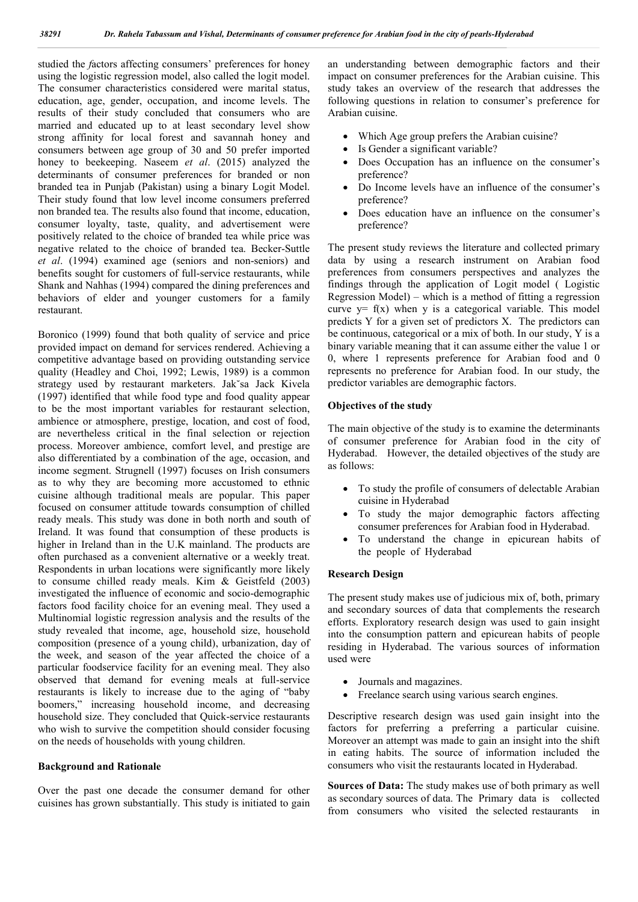studied the *f*actors affecting consumers' preferences for honey using the logistic regression model, also called the logit model. The consumer characteristics considered were marital status, education, age, gender, occupation, and income levels. The results of their study concluded that consumers who are married and educated up to at least secondary level show strong affinity for local forest and savannah honey and consumers between age group of 30 and 50 prefer imported honey to beekeeping. Naseem *et al*. (2015) analyzed the determinants of consumer preferences for branded or non branded tea in Punjab (Pakistan) using a binary Logit Model. Their study found that low level income consumers preferred non branded tea. The results also found that income, education, consumer loyalty, taste, quality, and advertisement were positively related to the choice of branded tea while price was negative related to the choice of branded tea. Becker-Suttle *et al*. (1994) examined age (seniors and non-seniors) and benefits sought for customers of full-service restaurants, while Shank and Nahhas (1994) compared the dining preferences and behaviors of elder and younger customers for a family restaurant.

Boronico (1999) found that both quality of service and price provided impact on demand for services rendered. Achieving a competitive advantage based on providing outstanding service quality (Headley and Choi, 1992; Lewis, 1989) is a common strategy used by restaurant marketers. Jak˘sa Jack Kivela (1997) identified that while food type and food quality appear to be the most important variables for restaurant selection, ambience or atmosphere, prestige, location, and cost of food, are nevertheless critical in the final selection or rejection process. Moreover ambience, comfort level, and prestige are also differentiated by a combination of the age, occasion, and income segment. Strugnell (1997) focuses on Irish consumers as to why they are becoming more accustomed to ethnic cuisine although traditional meals are popular. This paper focused on consumer attitude towards consumption of chilled ready meals. This study was done in both north and south of Ireland. It was found that consumption of these products is higher in Ireland than in the U.K mainland. The products are often purchased as a convenient alternative or a weekly treat. Respondents in urban locations were significantly more likely to consume chilled ready meals. Kim & Geistfeld (2003) investigated the influence of economic and socio-demographic factors food facility choice for an evening meal. They used a Multinomial logistic regression analysis and the results of the study revealed that income, age, household size, household composition (presence of a young child), urbanization, day of the week, and season of the year affected the choice of a particular foodservice facility for an evening meal. They also observed that demand for evening meals at full-service restaurants is likely to increase due to the aging of "baby boomers," increasing household income, and decreasing household size. They concluded that Quick-service restaurants who wish to survive the competition should consider focusing on the needs of households with young children.

### Background and Rationale

Over the past one decade the consumer demand for other cuisines has grown substantially. This study is initiated to gain

an understanding between demographic factors and their impact on consumer preferences for the Arabian cuisine. This study takes an overview of the research that addresses the following questions in relation to consumer's preference for Arabian cuisine.

- Which Age group prefers the Arabian cuisine?
- Is Gender a significant variable?
- Does Occupation has an influence on the consumer's preference?
- Do Income levels have an influence of the consumer's preference?
- Does education have an influence on the consumer's preference?

The present study reviews the literature and collected primary data by using a research instrument on Arabian food preferences from consumers perspectives and analyzes the findings through the application of Logit model ( Logistic Regression Model) – which is a method of fitting a regression curve  $y = f(x)$  when y is a categorical variable. This model predicts Y for a given set of predictors X. The predictors can be continuous, categorical or a mix of both. In our study, Y is a binary variable meaning that it can assume either the value 1 or 0, where 1 represents preference for Arabian food and 0 represents no preference for Arabian food. In our study, the predictor variables are demographic factors.

### Objectives of the study

The main objective of the study is to examine the determinants of consumer preference for Arabian food in the city of Hyderabad. However, the detailed objectives of the study are as follows:

- To study the profile of consumers of delectable Arabian cuisine in Hyderabad
- To study the major demographic factors affecting consumer preferences for Arabian food in Hyderabad.
- To understand the change in epicurean habits of the people of Hyderabad

#### Research Design

The present study makes use of judicious mix of, both, primary and secondary sources of data that complements the research efforts. Exploratory research design was used to gain insight into the consumption pattern and epicurean habits of people residing in Hyderabad. The various sources of information used were

- Journals and magazines.
- Freelance search using various search engines.

Descriptive research design was used gain insight into the factors for preferring a preferring a particular cuisine. Moreover an attempt was made to gain an insight into the shift in eating habits. The source of information included the consumers who visit the restaurants located in Hyderabad.

Sources of Data: The study makes use of both primary as well as secondary sources of data. The Primary data is collected from consumers who visited the selected restaurants in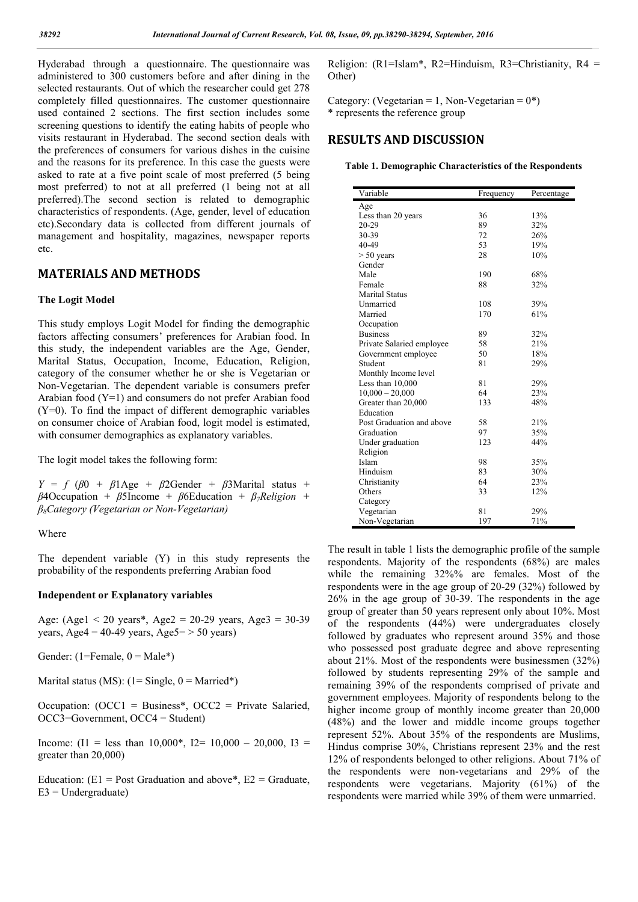Hyderabad through a questionnaire. The questionnaire was administered to 300 customers before and after dining in the selected restaurants. Out of which the researcher could get 278 completely filled questionnaires. The customer questionnaire used contained 2 sections. The first section includes some screening questions to identify the eating habits of people who visits restaurant in Hyderabad. The second section deals with the preferences of consumers for various dishes in the cuisine and the reasons for its preference. In this case the guests were asked to rate at a five point scale of most preferred (5 being most preferred) to not at all preferred (1 being not at all preferred).The second section is related to demographic characteristics of respondents. (Age, gender, level of education etc).Secondary data is collected from different journals of management and hospitality, magazines, newspaper reports etc.

## MATERIALS AND METHODS

#### The Logit Model

This study employs Logit Model for finding the demographic factors affecting consumers' preferences for Arabian food. In this study, the independent variables are the Age, Gender, Marital Status, Occupation, Income, Education, Religion, category of the consumer whether he or she is Vegetarian or Non-Vegetarian. The dependent variable is consumers prefer Arabian food (Y=1) and consumers do not prefer Arabian food (Y=0). To find the impact of different demographic variables on consumer choice of Arabian food, logit model is estimated, with consumer demographics as explanatory variables.

The logit model takes the following form:

 $Y = f (\beta 0 + \beta)$  Age +  $\beta$ 2Gender +  $\beta$ 3Marital status + *β*4Occupation + *β*5Income + *β*6Education + *β7Religion + β8Category (Vegetarian or Non-Vegetarian)*

### Where

The dependent variable (Y) in this study represents the probability of the respondents preferring Arabian food

#### Independent or Explanatory variables

Age: (Age1 < 20 years\*, Age2 = 20-29 years, Age3 = 30-39 years, Age4 = 40-49 years, Age5 =  $> 50$  years)

Gender:  $(1 =$ Female,  $0 =$ Male<sup>\*</sup>)

Marital status (MS):  $(1 = \text{Single}, 0 = \text{Married*})$ 

Occupation:  $(OCC1 = Business^*, OCC2 = Private Salaried,$ OCC3=Government, OCC4 = Student)

Income:  $(I1 = less than 10,000^*$ ,  $I2 = 10,000 - 20,000$ ,  $I3 =$ greater than 20,000)

Education:  $(E1 = Post Gradient and above^*, E2 = Gradient,$  $E3 =$ Undergraduate)

Religion: (R1=Islam\*, R2=Hinduism, R3=Christianity, R4 = Other)

Category: (Vegetarian = 1, Non-Vegetarian =  $0^*$ ) \* represents the reference group

## RESULTS AND DISCUSSION

Table 1. Demographic Characteristics of the Respondents

| Variable                  | Frequency | Percentage |
|---------------------------|-----------|------------|
| Age                       |           |            |
| Less than 20 years        | 36        | 13%        |
| 20-29                     | 89        | 32%        |
| 30-39                     | 72        | 26%        |
| 40-49                     | 53        | 19%        |
| $> 50$ years              | 28        | 10%        |
| Gender                    |           |            |
| Male                      | 190       | 68%        |
| Female                    | 88        | 32%        |
| <b>Marital Status</b>     |           |            |
| Unmarried                 | 108       | 39%        |
| Married                   | 170       | 61%        |
| Occupation                |           |            |
| <b>Business</b>           | 89        | 32%        |
| Private Salaried employee | 58        | 21%        |
| Government employee       | 50        | 18%        |
| Student                   | 81        | 29%        |
| Monthly Income level      |           |            |
| Less than 10,000          | 81        | 29%        |
| $10,000 - 20,000$         | 64        | 23%        |
| Greater than 20,000       | 133       | 48%        |
| Education                 |           |            |
| Post Graduation and above | 58        | 21%        |
| Graduation                | 97        | 35%        |
| Under graduation          | 123       | 44%        |
| Religion                  |           |            |
| Islam                     | 98        | 35%        |
| Hinduism                  | 83        | 30%        |
| Christianity              | 64        | 23%        |
| Others                    | 33        | 12%        |
| Category                  |           |            |
| Vegetarian                | 81        | 29%        |
| Non-Vegetarian            | 197       | 71%        |

The result in table 1 lists the demographic profile of the sample respondents. Majority of the respondents (68%) are males while the remaining 32%% are females. Most of the respondents were in the age group of 20-29 (32%) followed by 26% in the age group of 30-39. The respondents in the age group of greater than 50 years represent only about 10%. Most of the respondents (44%) were undergraduates closely followed by graduates who represent around 35% and those who possessed post graduate degree and above representing about 21%. Most of the respondents were businessmen (32%) followed by students representing 29% of the sample and remaining 39% of the respondents comprised of private and government employees. Majority of respondents belong to the higher income group of monthly income greater than 20,000 (48%) and the lower and middle income groups together represent 52%. About 35% of the respondents are Muslims, Hindus comprise 30%, Christians represent 23% and the rest 12% of respondents belonged to other religions. About 71% of the respondents were non-vegetarians and 29% of the respondents were vegetarians. Majority (61%) of the respondents were married while 39% of them were unmarried.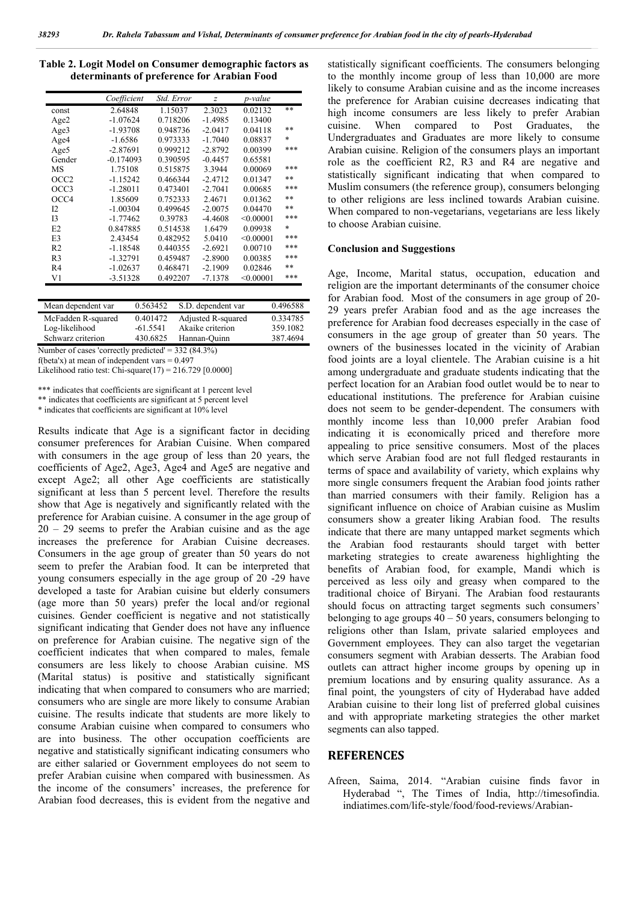| Table 2. Logit Model on Consumer demographic factors as |  |
|---------------------------------------------------------|--|
| determinants of preference for Arabian Food             |  |

|                  | Coefficient | Std. Error | $\overline{z}$ | p-value   |        |
|------------------|-------------|------------|----------------|-----------|--------|
| const            | 2.64848     | 1.15037    | 2.3023         | 0.02132   | $***$  |
| Age2             | $-1.07624$  | 0.718206   | $-1.4985$      | 0.13400   |        |
| Age3             | $-1.93708$  | 0.948736   | $-2.0417$      | 0.04118   | $**$   |
| Age4             | $-1.6586$   | 0.973333   | $-1.7040$      | 0.08837   | $\ast$ |
| Age <sub>5</sub> | $-2.87691$  | 0.999212   | $-2.8792$      | 0.00399   | ***    |
| Gender           | $-0.174093$ | 0.390595   | $-0.4457$      | 0.65581   |        |
| MS               | 1.75108     | 0.515875   | 3.3944         | 0.00069   | ***    |
| OCC2             | $-1.15242$  | 0.466344   | $-2.4712$      | 0.01347   | $**$   |
| OCC3             | $-1.28011$  | 0.473401   | $-2.7041$      | 0.00685   | ***    |
| OCC4             | 1.85609     | 0.752333   | 2.4671         | 0.01362   | $**$   |
| 12               | $-1.00304$  | 0.499645   | $-2.0075$      | 0.04470   | $**$   |
| I <sub>3</sub>   | $-1.77462$  | 0.39783    | $-4.4608$      | < 0.00001 | ***    |
| E2               | 0.847885    | 0.514538   | 1.6479         | 0.09938   | $\ast$ |
| E <sub>3</sub>   | 2.43454     | 0.482952   | 5.0410         | < 0.00001 | ***    |
| R <sub>2</sub>   | $-1.18548$  | 0.440355   | $-2.6921$      | 0.00710   | ***    |
| R <sub>3</sub>   | $-1.32791$  | 0.459487   | $-2.8900$      | 0.00385   | ***    |
| R4               | $-1.02637$  | 0.468471   | $-2.1909$      | 0.02846   | $***$  |
| V1               | $-3.51328$  | 0.492207   | $-7.1378$      | < 0.00001 | ***    |

| Mean dependent var | 0.563452   | S.D. dependent var | 0.496588 |
|--------------------|------------|--------------------|----------|
| McFadden R-squared | 0.401472   | Adjusted R-squared | 0.334785 |
| Log-likelihood     | $-61.5541$ | Akaike criterion   | 359.1082 |
| Schwarz criterion  | 430.6825   | Hannan-Quinn       | 387.4694 |

Number of cases 'correctly predicted' = 332 (84.3%)

f(beta'x) at mean of independent vars  $= 0.497$ 

Likelihood ratio test: Chi-square $(17)$  = 216.729 [0.0000]

\*\*\* indicates that coefficients are significant at 1 percent level

\*\* indicates that coefficients are significant at 5 percent level

\* indicates that coefficients are significant at 10% level

Results indicate that Age is a significant factor in deciding consumer preferences for Arabian Cuisine. When compared with consumers in the age group of less than 20 years, the coefficients of Age2, Age3, Age4 and Age5 are negative and except Age2; all other Age coefficients are statistically significant at less than 5 percent level. Therefore the results show that Age is negatively and significantly related with the preference for Arabian cuisine. A consumer in the age group of  $20 - 29$  seems to prefer the Arabian cuisine and as the age increases the preference for Arabian Cuisine decreases. Consumers in the age group of greater than 50 years do not seem to prefer the Arabian food. It can be interpreted that young consumers especially in the age group of 20 -29 have developed a taste for Arabian cuisine but elderly consumers (age more than 50 years) prefer the local and/or regional cuisines. Gender coefficient is negative and not statistically significant indicating that Gender does not have any influence on preference for Arabian cuisine. The negative sign of the coefficient indicates that when compared to males, female consumers are less likely to choose Arabian cuisine. MS (Marital status) is positive and statistically significant indicating that when compared to consumers who are married; consumers who are single are more likely to consume Arabian cuisine. The results indicate that students are more likely to consume Arabian cuisine when compared to consumers who are into business. The other occupation coefficients are negative and statistically significant indicating consumers who are either salaried or Government employees do not seem to prefer Arabian cuisine when compared with businessmen. As the income of the consumers' increases, the preference for Arabian food decreases, this is evident from the negative and statistically significant coefficients. The consumers belonging to the monthly income group of less than 10,000 are more likely to consume Arabian cuisine and as the income increases the preference for Arabian cuisine decreases indicating that high income consumers are less likely to prefer Arabian cuisine. When compared to Post Graduates, the Undergraduates and Graduates are more likely to consume Arabian cuisine. Religion of the consumers plays an important role as the coefficient R2, R3 and R4 are negative and statistically significant indicating that when compared to Muslim consumers (the reference group), consumers belonging to other religions are less inclined towards Arabian cuisine. When compared to non-vegetarians, vegetarians are less likely to choose Arabian cuisine.

#### Conclusion and Suggestions

Age, Income, Marital status, occupation, education and religion are the important determinants of the consumer choice for Arabian food. Most of the consumers in age group of 20- 29 years prefer Arabian food and as the age increases the preference for Arabian food decreases especially in the case of consumers in the age group of greater than 50 years. The owners of the businesses located in the vicinity of Arabian food joints are a loyal clientele. The Arabian cuisine is a hit among undergraduate and graduate students indicating that the perfect location for an Arabian food outlet would be to near to educational institutions. The preference for Arabian cuisine does not seem to be gender-dependent. The consumers with monthly income less than 10,000 prefer Arabian food indicating it is economically priced and therefore more appealing to price sensitive consumers. Most of the places which serve Arabian food are not full fledged restaurants in terms of space and availability of variety, which explains why more single consumers frequent the Arabian food joints rather than married consumers with their family. Religion has a significant influence on choice of Arabian cuisine as Muslim consumers show a greater liking Arabian food. The results indicate that there are many untapped market segments which the Arabian food restaurants should target with better marketing strategies to create awareness highlighting the benefits of Arabian food, for example, Mandi which is perceived as less oily and greasy when compared to the traditional choice of Biryani. The Arabian food restaurants should focus on attracting target segments such consumers' belonging to age groups  $40 - 50$  years, consumers belonging to religions other than Islam, private salaried employees and Government employees. They can also target the vegetarian consumers segment with Arabian desserts. The Arabian food outlets can attract higher income groups by opening up in premium locations and by ensuring quality assurance. As a final point, the youngsters of city of Hyderabad have added Arabian cuisine to their long list of preferred global cuisines and with appropriate marketing strategies the other market segments can also tapped.

## **REFERENCES**

Afreen, Saima, 2014. "Arabian cuisine finds favor in Hyderabad ", The Times of India, http://timesofindia. indiatimes.com/life-style/food/food-reviews/Arabian